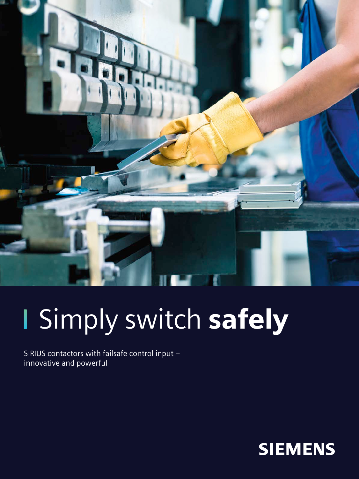

# I Simply switch safely

SIRIUS contactors with failsafe control input – innovative and powerful

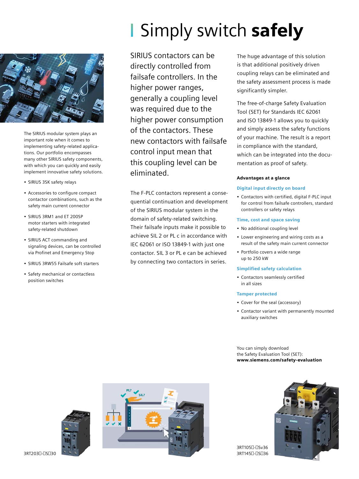

The SIRIUS modular system plays an important role when it comes to implementing safety-related applications. Our portfolio encompasses many other SIRIUS safety components, with which you can quickly and easily implement innovative safety solutions.

- SIRIUS 3SK safety relays
- Accessories to configure compact contactor combinations, such as the safety main current connector
- SIRIUS 3RM1 and ET 200SP motor starters with integrated safety-related shutdown
- SIRIUS ACT commanding and signaling devices, can be controlled via Profinet and Emergency Stop
- SIRIUS 3RW55 Failsafe soft starters
- Safety mechanical or contactless position switches

# **Simply switch safely**

SIRIUS contactors can be directly controlled from failsafe controllers. In the higher power ranges, generally a coupling level was required due to the higher power consumption of the contactors. These new contactors with failsafe control input mean that this coupling level can be eliminated.

The F-PLC contactors represent a consequential continuation and development of the SIRIUS modular system in the domain of safety-related switching. Their failsafe inputs make it possible to achieve SIL 2 or PL c in accordance with IEC 62061 or ISO 13849-1 with just one contactor. SIL 3 or PL e can be achieved by connecting two contactors in series.

The huge advantage of this solution is that additional positively driven coupling relays can be eliminated and the safety assessment process is made significantly simpler.

The free-of-charge Safety Evaluation Tool (SET) for Standards IEC 62061 and ISO 13849-1 allows you to quickly and simply assess the safety functions of your machine. The result is a report in compliance with the standard, which can be integrated into the documentation as proof of safety.

# Advantages at a glance

### Digital input directly on board

• Contactors with certified, digital F-PLC input for control from failsafe controllers, standard controllers or safety relays

#### Time, cost and space saving

- No additional coupling level
- Lower engineering and wiring costs as a result of the safety main current connector
- Portfolio covers a wide range up to 250 kW

### Simplified safety calculation

• Contactors seamlessly certified in all sizes

### Tamper protected

- Cover for the seal (accessory)
- Contactor variant with permanently mounted auxiliary switches

You can simply download the Safety Evaluation Tool (SET): www.siemens.com/safety-evaluation





3RT105□-□Sv36 3RT145□-□S□36

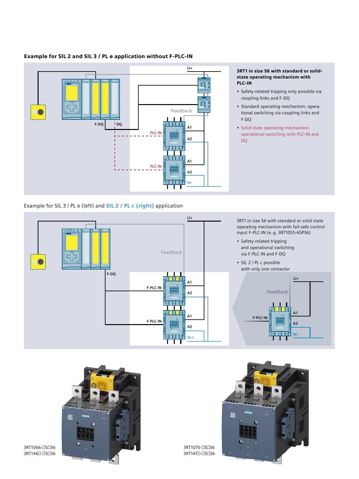

# Example for SIL 2 and SIL 3 / PL e application without F-PLC-IN

#### 3RT1 in size S6 with standard or solidstate operating mechanism with PLC-IN

- Safety-related tripping only possible via coupling links and F-DQ
- Standard operating mechanism: operational switching via coupling links and F-DQ
- Solid-state operating mechanism: operational switching with PLC-IN and DQ

Example for SIL 3 / PL e (left) and **SIL 2 / PL c (right)** application





3RT1066-□S□36 3RT146□-□S□36



3RT1075-□S□36 3RT147□-□S□36